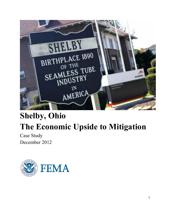

# **Shelby, Ohio The Economic Upside to Mitigation**

Case Study December 2012

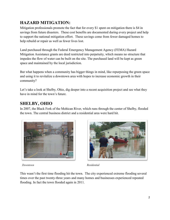# **HAZARD MITIGATION:**

Mitigation professionals promote the fact that for every \$1 spent on mitigation there is \$4 in savings from future disasters. These cost benefits are documented during every project and help to support the national mitigation effort. These savings come from fewer damaged homes to help rebuild or repair as well as fewer lives lost.

Land purchased through the Federal Emergency Management Agency (FEMA) Hazard Mitigation Assistance grants are deed restricted into perpetuity, which means no structure that impedes the flow of water can be built on the site. The purchased land will be kept as green space and maintained by the local jurisdiction.

But what happens when a community has bigger things in mind, like repurposing the green space and using it to revitalize a downtown area with hopes to increase economic growth in their community?

Let's take a look at Shelby, Ohio, dig deeper into a recent acquisition project and see what they have in mind for the town's future.

# **SHELBY, OHIO**

In 2007, the Black Fork of the Mohican River, which runs through the center of Shelby, flooded the town. The central business district and a residential area were hard hit.





*Downtown Residential*

This wasn't the first time flooding hit the town. The city experienced extreme flooding several times over the past twenty-three years and many homes and businesses experienced repeated flooding. In fact the town flooded again in 2011.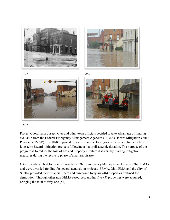











*2011*

Project Coordinator Joseph Gies and other town officials decided to take advantage of funding available from the Federal Emergency Management Agencies (FEMA) Hazard Mitigation Grant Program (HMGP). The HMGP provides grants to states, local governments and Indian tribes for long-term hazard mitigation projects following a major disaster declaration. The purpose of the program is to reduce the loss of life and property in future disasters by funding mitigation measures during the recovery phase of a natural disaster.

City officials applied for grants through the Ohio Emergency Management Agency (Ohio EMA) and were awarded funding for several acquisition projects. FEMA, Ohio EMA and the City of Shelby provided their financial share and purchased forty-six (46) properties destined for demolition. Through other non-FEMA resources, another five (5) properties were acquired, bringing the total to fifty-one (51).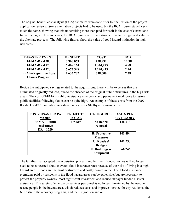The original benefit cost analysis (BCA) estimates were done prior to finalization of the project application reviews. Some alternative projects had to be used, but the BCA figures stayed very much the same, showing that this undertaking more than paid for itself in the cost of current and future damages. In some cases, the BCA figures were even stronger due to the type and value of the alternate projects. The following figures show the value of good hazard mitigation in high risk areas:

| <b>DISASTER EVENT</b>       | <b>BENEFIT</b> | <b>COST</b> | BCA   |
|-----------------------------|----------------|-------------|-------|
| <b>FEMA-DR-1580</b>         | 3,360,079      | 258,932     | 12.98 |
| <b>FEMA-DR-1720</b>         | 6,468,164      | 1,324,295   | 4.88  |
| <b>FEMA-DR-1720</b>         | 7,677,548      | 3,140,435   | 2.44  |
| <b>FEMA-Repetitive Loss</b> | 2,635,702      | 338,600     | 7.78  |
| <b>Claims Program</b>       |                |             |       |

Beside the anticipated savings related to the acquisitions, there will be expenses that are eliminated or greatly reduced, due to the absence of the original public structures in the high risk areas. The cost of FEMA's Public Assistance emergency and permanent work done to restore public facilities following floods can be quite high. An example of these costs from the 2007 floods, DR-1720, in Public Assistance services for Shelby are shown below.

| <b>POST-DISASTER PA</b> | <b>PROJECTS</b> | <b>CATEGORIES</b>    | <b>AMTS PER</b> |
|-------------------------|-----------------|----------------------|-----------------|
| <b>WORK</b>             | <b>TOTAL</b>    |                      | <b>CATEGORY</b> |
| <b>FEMA</b> – Public    | 775,603         | A: Debris            | 126,613         |
| <b>Assistance</b>       |                 | removal              |                 |
| $DR - 1720$             |                 |                      |                 |
|                         |                 | <b>B: Protective</b> | 141,494         |
|                         |                 | <b>Measures</b>      |                 |
|                         |                 | $C:$ Roads $\&$      | 141,250         |
|                         |                 | <b>Bridges</b>       |                 |
|                         |                 | E: Buildings $\&$    | 566,246         |
|                         |                 | Equipment            |                 |

The families that accepted the acquisition projects and left their flooded homes will no longer need to be concerned about elevated flood insurance rates because of the risks of living in a high hazard area. Floods are the most destructive and costly hazard in the U.S. Flood insurance premiums paid by residents in the flood hazard areas can be expensive, but are necessary to protect the property owners' most significant investment and reduce taxpayer funded disaster assistance. The safety of emergency services personnel is no longer threatened by the need to rescue people in the buyout area, which reduces costs and improves service for city residents, the NFIP itself, the recovery programs, and the list goes on and on.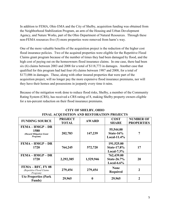In addition to FEMA, Ohio EMA and the City of Shelby, acquisition funding was obtained from the Neighborhood Stabilization Program, an arm of the Housing and Urban Development Agency, and Nature Works, part of the Ohio Department of Natural Resources. Through these non-FEMA resources five (5) more properties were removed from harm's way.

One of the more valuable benefits of the acquisition project is the reduction of the higher cost flood insurance policies. Two of the acquired properties were eligible for the Repetitive Flood Claims grant program because of the number of times they had been damaged by flood, and the high cost of paying out on the homeowners flood insurance claims. In one case, there had been six (6) claims between 2003 and 2008 for a total of \$118,773 in damages. Another case that qualified for this program had had four (4) claims between 1987 and 2008, for a total of \$173,006 in damages. These, along with other insured properties that were part of the acquisition project, will no longer pay the more expensive flood insurance premiums, nor will they have their homes and possessions in jeopardy every time it rains.

Because of the mitigation work done to reduce flood risks, Shelby, a member of the Community Rating System (CRS), has received a CRS rating of 8, making Shelby property owners eligible for a ten-percent reduction on their flood insurance premiums.

| <b>FUNDING SOURCE</b>                                              | <b>PROJECT</b><br><b>TOTAL</b> | <b>AWARD</b> | <b>COST</b><br><b>SHARE</b>                        | <b>NUMBER OF</b><br><b>PROPERTIES</b> |
|--------------------------------------------------------------------|--------------------------------|--------------|----------------------------------------------------|---------------------------------------|
| $FEMA - HMGP - DR$<br>1580<br>(Hazard Mitigation Grant<br>Program) | 202,783                        | 147,239      | 55,544.00<br>State- $16\%$<br>Local- $11.4\%$      | 7                                     |
| $FEMA - HMGP - DR$<br>1720                                         | 764,245                        | 572,720      | 191,525.00<br><b>State-17.8%</b><br>Local- $7.3\%$ | 17                                    |
| $FEMA - HMGP - DR$<br>1720                                         | 2,292,385                      | 1,529,946    | 762,439.00<br><b>State-26.7%</b><br>Local- $6.6\%$ | 20                                    |
| FEMA – RFC, FY 08<br>(Repetitive Flood Claims<br>Program)          | 279,454                        | 279,454      | <b>None</b><br><b>Required</b>                     | 2                                     |
| <b>Utz Properties (Park</b><br><b>Funds</b> )                      | 29,965                         | 0            | 29,965                                             | 2                                     |

#### **CITY OF SHELBY, OHIO FINAL ACQUISITION AND RESTORATION PROJECTS**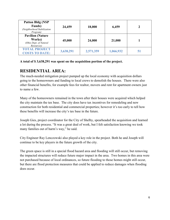| <b>Patton Bldg (NSP)</b><br><b>Funds</b> )<br>(Neighborhood Stabilization<br>Program) | 24,459    | 18,000    | 6,459     | 2  |
|---------------------------------------------------------------------------------------|-----------|-----------|-----------|----|
| <b>Pavilion (Nature)</b><br>Works)<br>(Ohio Dept. of Natural<br>Resources)            | 45,000    | 24,000    | 21,000    |    |
| <b>TOTAL PROJECT</b><br><b>COSTS TO DATE:</b>                                         | 3,638,291 | 2,571,359 | 1,066,932 | 51 |

#### **A total of \$ 3,638,291 was spent on the acquisition portion of the project.**

#### **RESIDENTIAL AREA:**

The much-needed mitigation project pumped up the local economy with acquisition dollars going to the homeowners and funding to local crews to demolish the houses. There were also other financial benefits, for example fees for realtor, movers and rent for apartment owners just to name a few.

Many of the homeowners remained in the town after their houses were acquired which helped the city maintain the tax base. The city does have tax incentives for remodeling and new construction for both residential and commercial properties; however it's too early to tell how these benefits will increase the city's tax base in the future.

Joseph Gies, project coordinator for the City of Shelby, spearheaded the acquisition and learned a lot during the process. "It was a great deal of work, but I felt satisfaction knowing we took many families out of harm's way," he said.

City Engineer Ray Lenczowski also played a key role in the project. Both he and Joseph will continue to be key players in the future growth of the city.

The green space is still in a special flood hazard area and flooding will still occur, but removing the impacted structures will reduce future major impact in the area. Two homes in this area were not purchased because of local ordinances, so future flooding to those homes might still occur, but there are flood protection measures that could be applied to reduce damages when flooding does occur.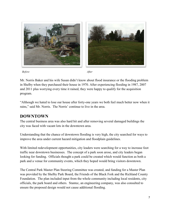



*Before After*



Mr. Norris Baker and his wife Susan didn't know about flood insurance or the flooding problem in Shelby when they purchased their house in 1970. After experiencing flooding in 1987, 2007 and 2011 plus worrying every time it rained, they were happy to qualify for the acquisition program.

"Although we hated to lose our house after forty-one years we both feel much better now when it rains," said Mr. Norris. The Norris' continue to live in the area.

## **DOWNTOWN**

The central business area was also hard hit and after removing several damaged buildings the city was faced with vacant lots in the downtown area.

Understanding that the chance of downtown flooding is very high, the city searched for ways to improve the area under current hazard mitigation and floodplain guidelines.

With limited redevelopment opportunities, city leaders were searching for a way to increase foot traffic near downtown businesses. The concept of a park soon arose, and city leaders began looking for funding. Officials thought a park could be created which would function as both a park and a venue for community events, which they hoped would bring visitors downtown.

The Central Park Master Plan Steering Committee was created, and funding for a Master Plan was provided by the Shelby Park Board, the Friends of the Black Fork and the Richland County Foundation. The plan included input from the whole community including local residents, city officials, the park board and others. Stantec, an engineering company, was also consulted to ensure the proposed design would not cause additional flooding.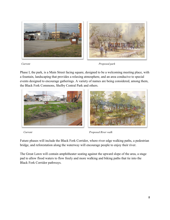

*Current Proposed park*

Phase I, the park, is a Main Street facing square, designed to be a welcoming meeting place, with a fountain, landscaping that provides a relaxing atmosphere, and an area conducive to special events designed to encourage gatherings. A variety of names are being considered, among them, the Black Fork Commons, Shelby Central Park and others.



*Current Proposed River walk*

Future phases will include the Black Fork Corridor, where river edge walking paths, a pedestrian bridge, and reforestation along the waterway will encourage people to enjoy their river.

The Great Lawn will contain amphitheater seating against the upward slope of the area, a stage pad to allow flood waters to flow freely and more walking and biking paths that tie into the Black Fork Corridor pathways.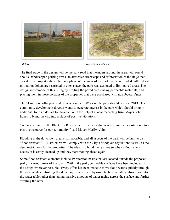

*Before Proposed amphitheater*

The final stage in the design will be the park road that meanders around the area, with roundabouts, handicapped parking areas, an attractive streetscape and reforestation of the ridge that elevates the property above the floodplain. While areas of the park that were funded with federal mitigation dollars are restricted to open space, the park was designed to limit paved areas. The design accommodates this ruling by limiting the paved areas, using permeable materials, and placing them in those portions of the properties that were purchased with non-federal funds.

The \$1 million dollar project design is complete. Work on the park should begin in 2013. The community development director wants to generate interest in the park which should bring in additional tourism dollars to the area. With the help of a local marketing firm, Mayor John hopes to brand the city into a place of positive vibrations.

"We wanted to turn the Blackfork River area from an area that was a source of devastation into a positive resource for our community," said Mayor Marilyn John.

Flooding in the downtown area is still possible, and all aspects of the park will be built to be "flood resistant." All structures will comply with the City's floodplain regulations as well as the deed restrictions for the properties. The idea is to build the features so when a flood event occurs, it is easily cleaned up and they start moving ahead again.

Some flood resistant elements include 19 retention basins that are located outside the proposed park, in various areas of the town. Within the park, permeable surfaces have been included in the design wherever possible. Every effort has been made to move flood waters quickly through the area, while controlling flood damage downstream by using tactics that allow absorption into the water table rather than having massive amounts of water racing across the surface and further swelling the river.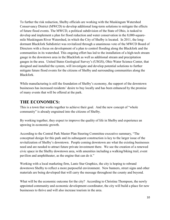To further the risk reduction, Shelby officials are working with the Muskingum Watershed Conservancy District (MWCD) to develop additional long-term solutions to mitigate the effects of future flood events. The MWCD, a political subdivision of the State of Ohio, is tasked to develop and implement a plan for flood reduction and water conservation in the 8,000-squaremile Muskingum River Watershed, in which the City of Shelby is located. In 2011, the longdormant Blackfork Subdistrict was revitalized through a unanimous vote of the MWCD Board of Directors with a focus on development of a plan to control flooding along the Blackfork and the communities in its watershed. This ongoing effort has led to the installation of a high-tech stream gauge in the downtown area in the Blackfork as well as additional stream and precipitation gauges in the area. United States Geological Survey's (USGS), Ohio Water Science Center, that designed and installed the system, will investigate and develop potential solutions to further mitigate future flood events for the citizens of Shelby and surrounding communities along the Blackfork.

While manufacturing is still the foundation of Shelby's economy, the support of the downtown businesses has increased residents' desire to buy locally and has been enhanced by the promise of many events that will be offered at the park.

## **THE ECONOMICS:**

This is a town that works together to achieve their goal. And the new concept of "whole community" is already engrained into the citizens of Shelby.

By working together, they expect to improve the quality of life in Shelby and experience an upswing in economic growth.

According to the Central Park Master Plan Steering Committee executive summary, "The conceptual design for this park and its subsequent construction is key to the larger issue of the revitalization of Shelby's downtown. People coming downtown are what the existing businesses need and are needed to attract future private investment there. We see the creation of a renewed civic space in the Shelby downtown area, with amenities including a walking/biking trail, event pavilion and amphitheater, as the engine that can do it."

Working with a local marketing firm, Lantz Star Graphics, the city is hoping to rebrand downtown Shelby to reflect a more purposeful environment. New banners, street signs and other materials are being developed that will carry the message throughout the county and beyond.

What will be the economic outcome for the city? According to Christina Thompson, the newly appointed community and economic development coordinator, the city will build a place for new businesses to thrive and will also increase tourism in the area.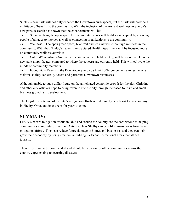Shelby's new park will not only enhance the Downtown curb appeal, but the park will provide a multitude of benefits to the community. With the inclusion of the arts and wellness in Shelby's new park, research has shown that the enhancements will be:

1) Social – Using the open space for community events will build social capital by allowing people of all ages to interact as well as connecting organizations to the community.

2) Wellness – The open green space, bike trail and ice rink will encourage wellness in the community. With that, Shelby's recently restructured Health Department will be focusing more on community wellness activities.

3) Cultural/Cognitive – Summer concerts, which are held weekly, will be more visible in the new park amphitheater, compared to where the concerts are currently held. This will cultivate the minds of community members.

4) Economic – Events in the Downtown Shelby park will offer convenience to residents and visitors, so they can easily access and patronize Downtown businesses.

Although unable to put a dollar figure on the anticipated economic growth for the city, Christina and other city officials hope to bring revenue into the city through increased tourism and small business growth and development.

The long-term outcome of the city's mitigation efforts will definitely be a boost to the economy in Shelby, Ohio, and its citizens for years to come.

#### **SUMMARY:**

FEMA's hazard mitigation efforts in Ohio and around the country are the cornerstone to helping communities avoid future disasters. Cities such as Shelby can benefit in many ways from hazard mitigation efforts. They can reduce future damage to homes and businesses and they can help grow their economy by being creative in building parks and recreational areas that attract tourism.

Their efforts are to be commended and should be a vision for other communities across the country experiencing reoccurring disasters.